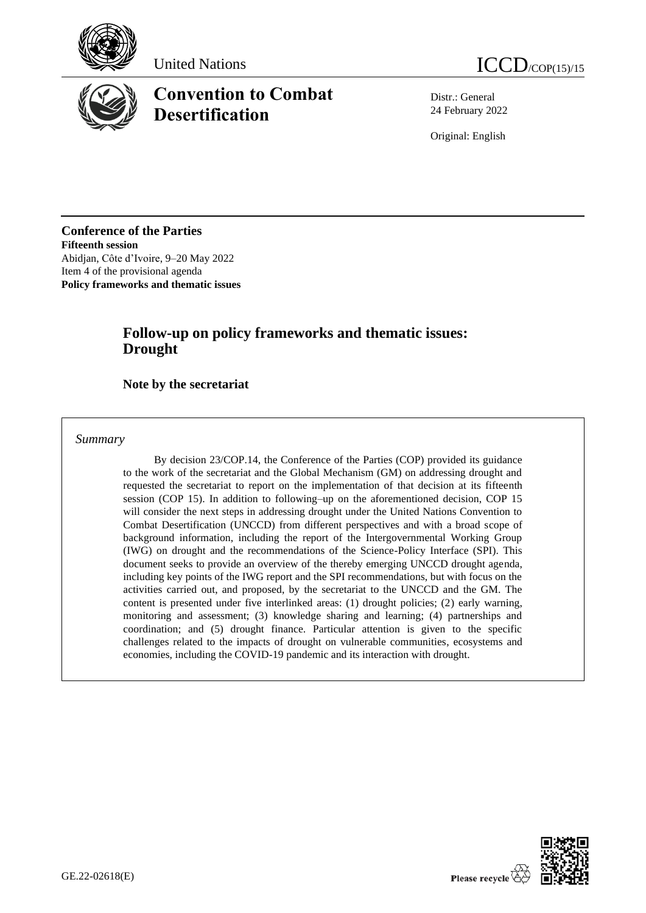





# **Convention to Combat Desertification**

Distr.: General 24 February 2022

Original: English

**Conference of the Parties Fifteenth session** Abidjan, Côte d'Ivoire, 9–20 May 2022 Item 4 of the provisional agenda **Policy frameworks and thematic issues**

## **Follow-up on policy frameworks and thematic issues: Drought**

#### **Note by the secretariat**

*Summary*

By decision 23/COP.14, the Conference of the Parties (COP) provided its guidance to the work of the secretariat and the Global Mechanism (GM) on addressing drought and requested the secretariat to report on the implementation of that decision at its fifteenth session (COP 15). In addition to following–up on the aforementioned decision, COP 15 will consider the next steps in addressing drought under the United Nations Convention to Combat Desertification (UNCCD) from different perspectives and with a broad scope of background information, including the report of the Intergovernmental Working Group (IWG) on drought and the recommendations of the Science-Policy Interface (SPI). This document seeks to provide an overview of the thereby emerging UNCCD drought agenda, including key points of the IWG report and the SPI recommendations, but with focus on the activities carried out, and proposed, by the secretariat to the UNCCD and the GM. The content is presented under five interlinked areas: (1) drought policies; (2) early warning, monitoring and assessment; (3) knowledge sharing and learning; (4) partnerships and coordination; and (5) drought finance. Particular attention is given to the specific challenges related to the impacts of drought on vulnerable communities, ecosystems and economies, including the COVID-19 pandemic and its interaction with drought.

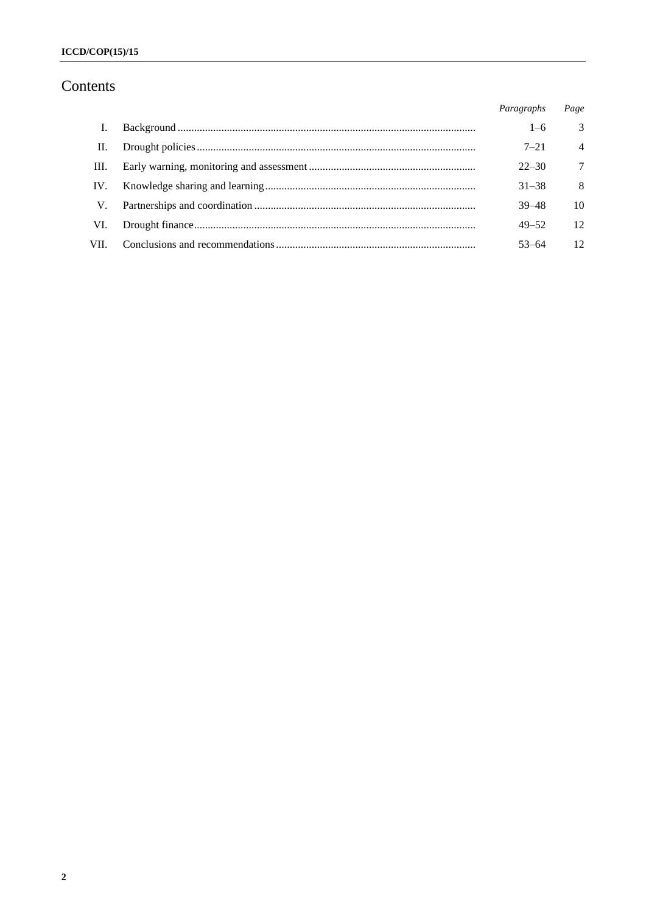# Contents

|      | Paragraphs | Page           |
|------|------------|----------------|
|      | $1 - 6$    | 3              |
| II.  | $7 - 21$   | $\overline{4}$ |
| III. | $22 - 30$  | 7              |
| IV.  | $31 - 38$  | -8             |
| V.   | $39 - 48$  | 10             |
| VI.  | $49 - 52$  | 12             |
| VII. | $53 - 64$  | 12             |
|      |            |                |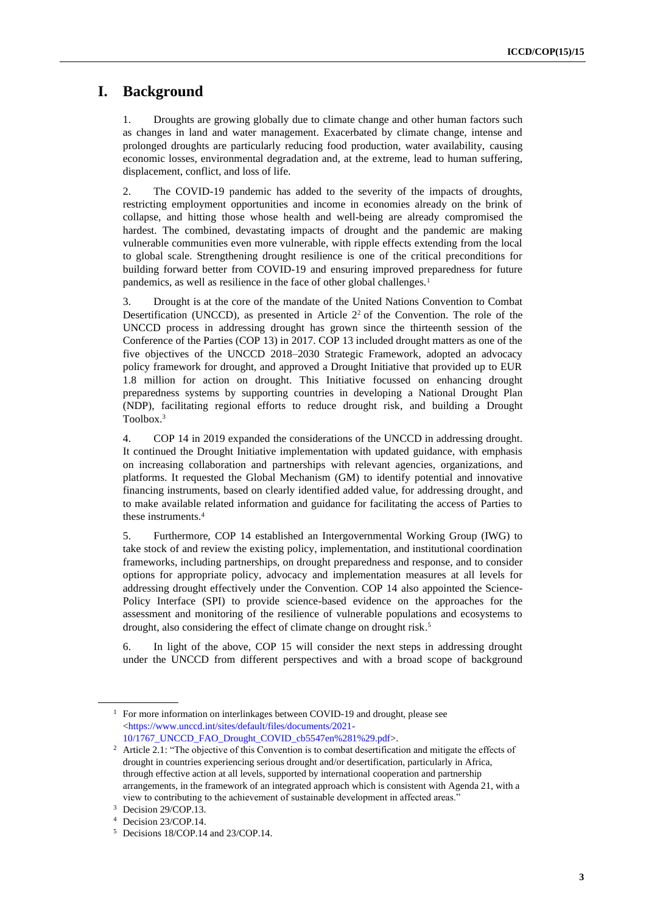### **I. Background**

1. Droughts are growing globally due to climate change and other human factors such as changes in land and water management. Exacerbated by climate change, intense and prolonged droughts are particularly reducing food production, water availability, causing economic losses, environmental degradation and, at the extreme, lead to human suffering, displacement, conflict, and loss of life.

2. The COVID-19 pandemic has added to the severity of the impacts of droughts, restricting employment opportunities and income in economies already on the brink of collapse, and hitting those whose health and well-being are already compromised the hardest. The combined, devastating impacts of drought and the pandemic are making vulnerable communities even more vulnerable, with ripple effects extending from the local to global scale. Strengthening drought resilience is one of the critical preconditions for building forward better from COVID-19 and ensuring improved preparedness for future pandemics, as well as resilience in the face of other global challenges.<sup>1</sup>

3. Drought is at the core of the mandate of the United Nations Convention to Combat Desertification (UNCCD), as presented in Article  $2<sup>2</sup>$  of the Convention. The role of the UNCCD process in addressing drought has grown since the thirteenth session of the Conference of the Parties (COP 13) in 2017. COP 13 included drought matters as one of the five objectives of the UNCCD 2018–2030 Strategic Framework, adopted an advocacy policy framework for drought, and approved a Drought Initiative that provided up to EUR 1.8 million for action on drought. This Initiative focussed on enhancing drought preparedness systems by supporting countries in developing a National Drought Plan (NDP), facilitating regional efforts to reduce drought risk, and building a Drought Toolbox.<sup>3</sup>

4. COP 14 in 2019 expanded the considerations of the UNCCD in addressing drought. It continued the Drought Initiative implementation with updated guidance, with emphasis on increasing collaboration and partnerships with relevant agencies, organizations, and platforms. It requested the Global Mechanism (GM) to identify potential and innovative financing instruments, based on clearly identified added value, for addressing drought, and to make available related information and guidance for facilitating the access of Parties to these instruments.<sup>4</sup>

5. Furthermore, COP 14 established an Intergovernmental Working Group (IWG) to take stock of and review the existing policy, implementation, and institutional coordination frameworks, including partnerships, on drought preparedness and response, and to consider options for appropriate policy, advocacy and implementation measures at all levels for addressing drought effectively under the Convention. COP 14 also appointed the Science-Policy Interface (SPI) to provide science-based evidence on the approaches for the assessment and monitoring of the resilience of vulnerable populations and ecosystems to drought, also considering the effect of climate change on drought risk.<sup>5</sup>

6. In light of the above, COP 15 will consider the next steps in addressing drought under the UNCCD from different perspectives and with a broad scope of background

<sup>&</sup>lt;sup>1</sup> For more information on interlinkages between COVID-19 and drought, please see [<https://www.unccd.int/sites/default/files/documents/2021-](https://www.unccd.int/sites/default/files/documents/2021-10/1767_UNCCD_FAO_Drought_COVID_cb5547en%281%29.pdf) [10/1767\\_UNCCD\\_FAO\\_Drought\\_COVID\\_cb5547en%281%29.pdf>](https://www.unccd.int/sites/default/files/documents/2021-10/1767_UNCCD_FAO_Drought_COVID_cb5547en%281%29.pdf).

<sup>&</sup>lt;sup>2</sup> Article 2.1: "The objective of this Convention is to combat desertification and mitigate the effects of drought in countries experiencing serious drought and/or desertification, particularly in Africa, through effective action at all levels, supported by international cooperation and partnership arrangements, in the framework of an integrated approach which is consistent with Agenda 21, with a view to contributing to the achievement of sustainable development in affected areas."

<sup>&</sup>lt;sup>3</sup> Decision 29/COP.13.

<sup>4</sup> Decision 23/COP.14.

<sup>5</sup> Decisions 18/COP.14 and 23/COP.14.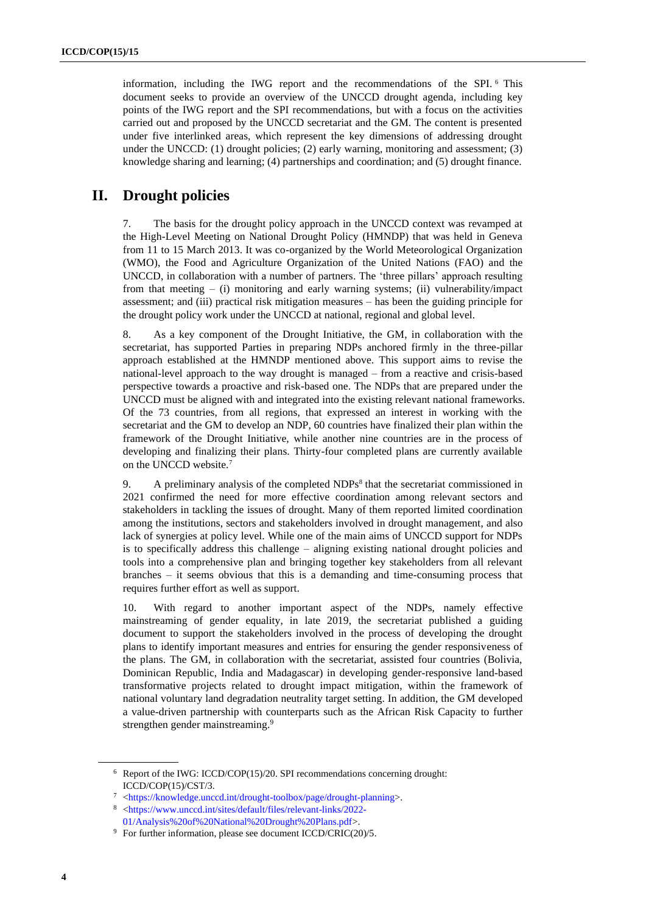information, including the IWG report and the recommendations of the SPI. <sup>6</sup> This document seeks to provide an overview of the UNCCD drought agenda, including key points of the IWG report and the SPI recommendations, but with a focus on the activities carried out and proposed by the UNCCD secretariat and the GM. The content is presented under five interlinked areas, which represent the key dimensions of addressing drought under the UNCCD: (1) drought policies; (2) early warning, monitoring and assessment; (3) knowledge sharing and learning; (4) partnerships and coordination; and (5) drought finance.

#### **II. Drought policies**

7. The basis for the drought policy approach in the UNCCD context was revamped at the High-Level Meeting on National Drought Policy (HMNDP) that was held in Geneva from 11 to 15 March 2013. It was co-organized by the World Meteorological Organization (WMO), the Food and Agriculture Organization of the United Nations (FAO) and the UNCCD, in collaboration with a number of partners. The 'three pillars' approach resulting from that meeting – (i) monitoring and early warning systems; (ii) vulnerability/impact assessment; and (iii) practical risk mitigation measures – has been the guiding principle for the drought policy work under the UNCCD at national, regional and global level.

8. As a key component of the Drought Initiative, the GM, in collaboration with the secretariat, has supported Parties in preparing NDPs anchored firmly in the three-pillar approach established at the HMNDP mentioned above. This support aims to revise the national-level approach to the way drought is managed – from a reactive and crisis-based perspective towards a proactive and risk-based one. The NDPs that are prepared under the UNCCD must be aligned with and integrated into the existing relevant national frameworks. Of the 73 countries, from all regions, that expressed an interest in working with the secretariat and the GM to develop an NDP, 60 countries have finalized their plan within the framework of the Drought Initiative, while another nine countries are in the process of developing and finalizing their plans. Thirty-four completed plans are currently available on the UNCCD website.<sup>7</sup>

9. A preliminary analysis of the completed NDPs<sup>8</sup> that the secretariat commissioned in 2021 confirmed the need for more effective coordination among relevant sectors and stakeholders in tackling the issues of drought. Many of them reported limited coordination among the institutions, sectors and stakeholders involved in drought management, and also lack of synergies at policy level. While one of the main aims of UNCCD support for NDPs is to specifically address this challenge – aligning existing national drought policies and tools into a comprehensive plan and bringing together key stakeholders from all relevant branches – it seems obvious that this is a demanding and time-consuming process that requires further effort as well as support.

10. With regard to another important aspect of the NDPs, namely effective mainstreaming of gender equality, in late 2019, the secretariat published a guiding document to support the stakeholders involved in the process of developing the drought plans to identify important measures and entries for ensuring the gender responsiveness of the plans. The GM, in collaboration with the secretariat, assisted four countries (Bolivia, Dominican Republic, India and Madagascar) in developing gender-responsive land-based transformative projects related to drought impact mitigation, within the framework of national voluntary land degradation neutrality target setting. In addition, the GM developed a value-driven partnership with counterparts such as the African Risk Capacity to further strengthen gender mainstreaming.<sup>9</sup>

<sup>6</sup> Report of the IWG: ICCD/COP(15)/20. SPI recommendations concerning drought: ICCD/COP(15)/CST/3.

<sup>7</sup> [<https://knowledge.unccd.int/drought-toolbox/page/drought-planning>](https://knowledge.unccd.int/drought-toolbox/page/drought-planning).

<sup>8</sup> [<https://www.unccd.int/sites/default/files/relevant-links/2022-](https://www.unccd.int/sites/default/files/relevant-links/2022-01/Analysis%20of%20National%20Drought%20Plans.pdf) [01/Analysis%20of%20National%20Drought%20Plans.pdf>](https://www.unccd.int/sites/default/files/relevant-links/2022-01/Analysis%20of%20National%20Drought%20Plans.pdf).

<sup>&</sup>lt;sup>9</sup> For further information, please see document ICCD/CRIC(20)/5.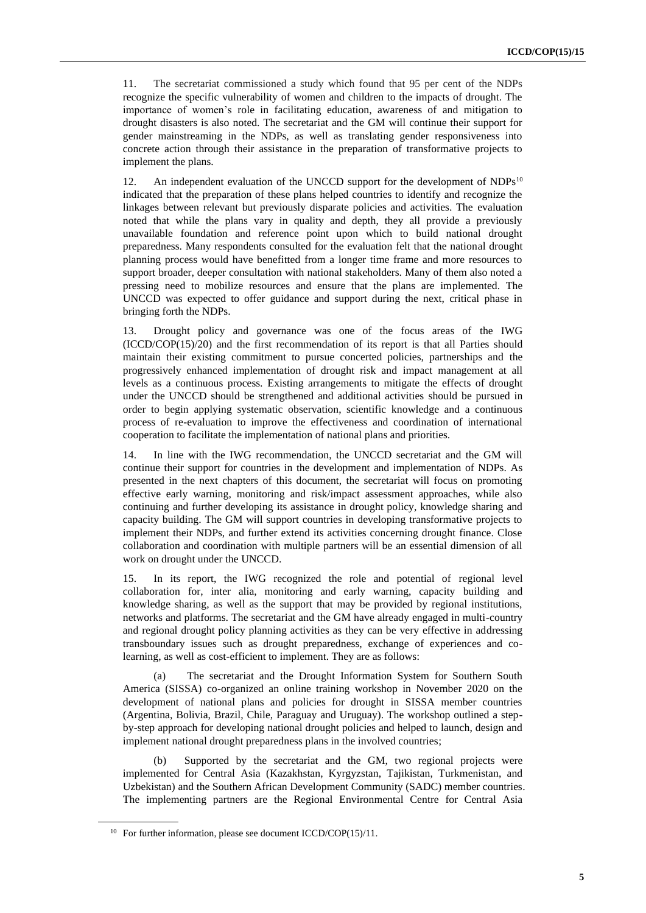11. The secretariat commissioned a study which found that 95 per cent of the NDPs recognize the specific vulnerability of women and children to the impacts of drought. The importance of women's role in facilitating education, awareness of and mitigation to drought disasters is also noted. The secretariat and the GM will continue their support for gender mainstreaming in the NDPs, as well as translating gender responsiveness into concrete action through their assistance in the preparation of transformative projects to implement the plans.

12. An independent evaluation of the UNCCD support for the development of NDPs<sup>10</sup> indicated that the preparation of these plans helped countries to identify and recognize the linkages between relevant but previously disparate policies and activities. The evaluation noted that while the plans vary in quality and depth, they all provide a previously unavailable foundation and reference point upon which to build national drought preparedness. Many respondents consulted for the evaluation felt that the national drought planning process would have benefitted from a longer time frame and more resources to support broader, deeper consultation with national stakeholders. Many of them also noted a pressing need to mobilize resources and ensure that the plans are implemented. The UNCCD was expected to offer guidance and support during the next, critical phase in bringing forth the NDPs.

13. Drought policy and governance was one of the focus areas of the IWG (ICCD/COP(15)/20) and the first recommendation of its report is that all Parties should maintain their existing commitment to pursue concerted policies, partnerships and the progressively enhanced implementation of drought risk and impact management at all levels as a continuous process. Existing arrangements to mitigate the effects of drought under the UNCCD should be strengthened and additional activities should be pursued in order to begin applying systematic observation, scientific knowledge and a continuous process of re-evaluation to improve the effectiveness and coordination of international cooperation to facilitate the implementation of national plans and priorities.

14. In line with the IWG recommendation, the UNCCD secretariat and the GM will continue their support for countries in the development and implementation of NDPs. As presented in the next chapters of this document, the secretariat will focus on promoting effective early warning, monitoring and risk/impact assessment approaches, while also continuing and further developing its assistance in drought policy, knowledge sharing and capacity building. The GM will support countries in developing transformative projects to implement their NDPs, and further extend its activities concerning drought finance. Close collaboration and coordination with multiple partners will be an essential dimension of all work on drought under the UNCCD.

15. In its report, the IWG recognized the role and potential of regional level collaboration for, inter alia, monitoring and early warning, capacity building and knowledge sharing, as well as the support that may be provided by regional institutions, networks and platforms. The secretariat and the GM have already engaged in multi-country and regional drought policy planning activities as they can be very effective in addressing transboundary issues such as drought preparedness, exchange of experiences and colearning, as well as cost-efficient to implement. They are as follows:

(a) The secretariat and the Drought Information System for Southern South America (SISSA) co-organized an online training workshop in November 2020 on the development of national plans and policies for drought in SISSA member countries (Argentina, Bolivia, Brazil, Chile, Paraguay and Uruguay). The workshop outlined a stepby-step approach for developing national drought policies and helped to launch, design and implement national drought preparedness plans in the involved countries;

(b) Supported by the secretariat and the GM, two regional projects were implemented for Central Asia (Kazakhstan, Kyrgyzstan, Tajikistan, Turkmenistan, and Uzbekistan) and the Southern African Development Community (SADC) member countries. The implementing partners are the Regional Environmental Centre for Central Asia

<sup>&</sup>lt;sup>10</sup> For further information, please see document ICCD/COP(15)/11.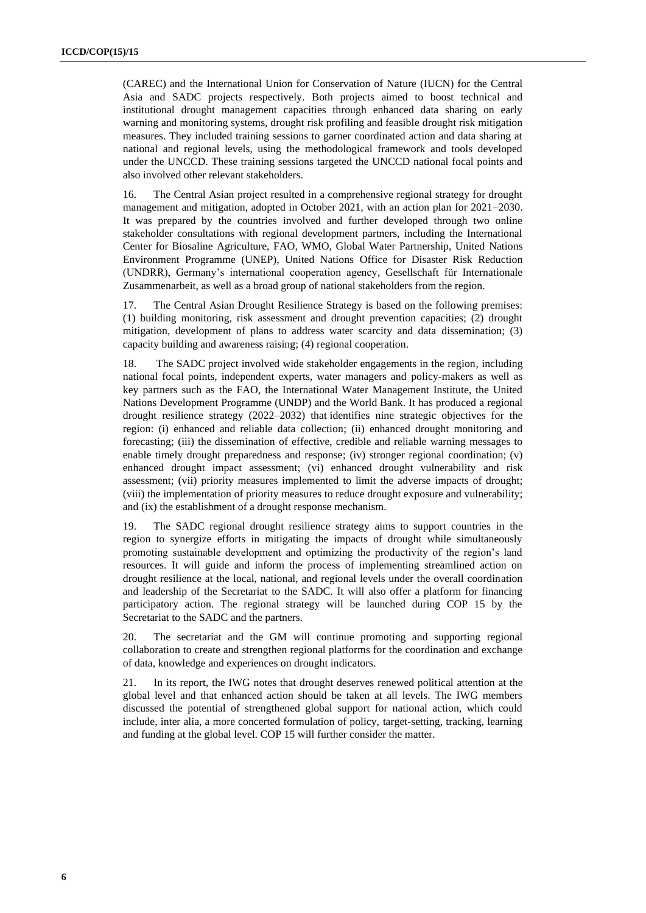(CAREC) and the International Union for Conservation of Nature (IUCN) for the Central Asia and SADC projects respectively. Both projects aimed to boost technical and institutional drought management capacities through enhanced data sharing on early warning and monitoring systems, drought risk profiling and feasible drought risk mitigation measures. They included training sessions to garner coordinated action and data sharing at national and regional levels, using the methodological framework and tools developed under the UNCCD. These training sessions targeted the UNCCD national focal points and also involved other relevant stakeholders.

16. The Central Asian project resulted in a comprehensive regional strategy for drought management and mitigation, adopted in October 2021, with an action plan for 2021–2030. It was prepared by the countries involved and further developed through two online stakeholder consultations with regional development partners, including the International Center for Biosaline Agriculture, FAO, WMO, Global Water Partnership, United Nations Environment Programme (UNEP), United Nations Office for Disaster Risk Reduction (UNDRR), Germany's international cooperation agency, Gesellschaft für Internationale Zusammenarbeit, as well as a broad group of national stakeholders from the region.

17. The Central Asian Drought Resilience Strategy is based on the following premises: (1) building monitoring, risk assessment and drought prevention capacities; (2) drought mitigation, development of plans to address water scarcity and data dissemination; (3) capacity building and awareness raising; (4) regional cooperation.

18. The SADC project involved wide stakeholder engagements in the region, including national focal points, independent experts, water managers and policy-makers as well as key partners such as the FAO, the International Water Management Institute, the United Nations Development Programme (UNDP) and the World Bank. It has produced a regional drought resilience strategy (2022–2032) that identifies nine strategic objectives for the region: (i) enhanced and reliable data collection; (ii) enhanced drought monitoring and forecasting; (iii) the dissemination of effective, credible and reliable warning messages to enable timely drought preparedness and response; (iv) stronger regional coordination; (v) enhanced drought impact assessment; (vi) enhanced drought vulnerability and risk assessment; (vii) priority measures implemented to limit the adverse impacts of drought; (viii) the implementation of priority measures to reduce drought exposure and vulnerability; and (ix) the establishment of a drought response mechanism.

19. The SADC regional drought resilience strategy aims to support countries in the region to synergize efforts in mitigating the impacts of drought while simultaneously promoting sustainable development and optimizing the productivity of the region's land resources. It will guide and inform the process of implementing streamlined action on drought resilience at the local, national, and regional levels under the overall coordination and leadership of the Secretariat to the SADC. It will also offer a platform for financing participatory action. The regional strategy will be launched during COP 15 by the Secretariat to the SADC and the partners.

20. The secretariat and the GM will continue promoting and supporting regional collaboration to create and strengthen regional platforms for the coordination and exchange of data, knowledge and experiences on drought indicators.

21. In its report, the IWG notes that drought deserves renewed political attention at the global level and that enhanced action should be taken at all levels. The IWG members discussed the potential of strengthened global support for national action, which could include, inter alia, a more concerted formulation of policy, target-setting, tracking, learning and funding at the global level. COP 15 will further consider the matter.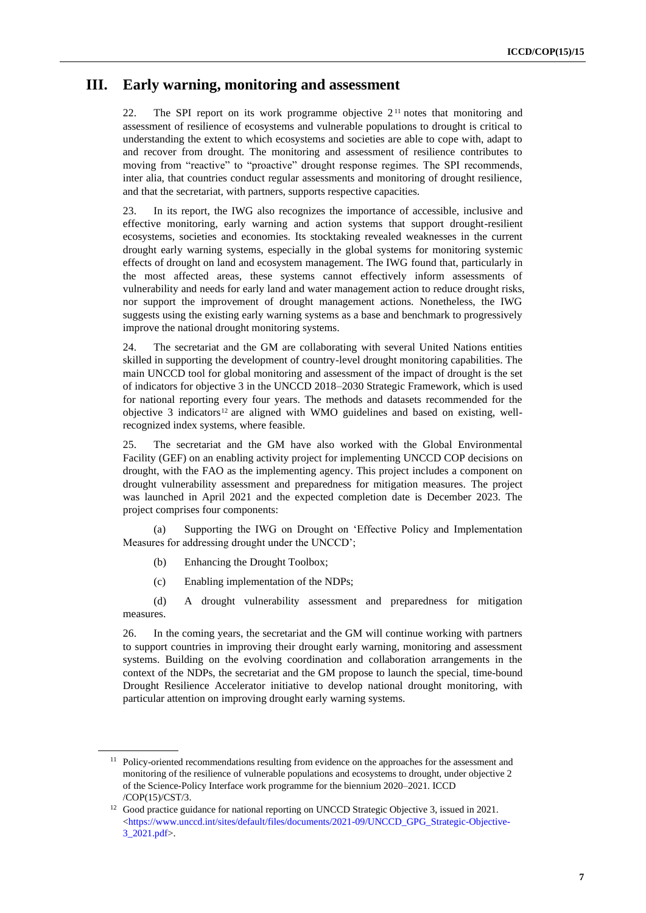#### **III. Early warning, monitoring and assessment**

22. The SPI report on its work programme objective 2<sup>11</sup> notes that monitoring and assessment of resilience of ecosystems and vulnerable populations to drought is critical to understanding the extent to which ecosystems and societies are able to cope with, adapt to and recover from drought. The monitoring and assessment of resilience contributes to moving from "reactive" to "proactive" drought response regimes. The SPI recommends, inter alia, that countries conduct regular assessments and monitoring of drought resilience, and that the secretariat, with partners, supports respective capacities.

23. In its report, the IWG also recognizes the importance of accessible, inclusive and effective monitoring, early warning and action systems that support drought-resilient ecosystems, societies and economies. Its stocktaking revealed weaknesses in the current drought early warning systems, especially in the global systems for monitoring systemic effects of drought on land and ecosystem management. The IWG found that, particularly in the most affected areas, these systems cannot effectively inform assessments of vulnerability and needs for early land and water management action to reduce drought risks, nor support the improvement of drought management actions. Nonetheless, the IWG suggests using the existing early warning systems as a base and benchmark to progressively improve the national drought monitoring systems.

24. The secretariat and the GM are collaborating with several United Nations entities skilled in supporting the development of country-level drought monitoring capabilities. The main UNCCD tool for global monitoring and assessment of the impact of drought is the set of indicators for objective 3 in the UNCCD 2018–2030 Strategic Framework, which is used for national reporting every four years. The methods and datasets recommended for the objective 3 indicators<sup>12</sup> are aligned with WMO guidelines and based on existing, wellrecognized index systems, where feasible.

25. The secretariat and the GM have also worked with the Global Environmental Facility (GEF) on an enabling activity project for implementing UNCCD COP decisions on drought, with the FAO as the implementing agency. This project includes a component on drought vulnerability assessment and preparedness for mitigation measures. The project was launched in April 2021 and the expected completion date is December 2023. The project comprises four components:

(a) Supporting the IWG on Drought on 'Effective Policy and Implementation Measures for addressing drought under the UNCCD';

- (b) Enhancing the Drought Toolbox;
- (c) Enabling implementation of the NDPs;

(d) A drought vulnerability assessment and preparedness for mitigation measures.

26. In the coming years, the secretariat and the GM will continue working with partners to support countries in improving their drought early warning, monitoring and assessment systems. Building on the evolving coordination and collaboration arrangements in the context of the NDPs, the secretariat and the GM propose to launch the special, time-bound Drought Resilience Accelerator initiative to develop national drought monitoring, with particular attention on improving drought early warning systems.

<sup>&</sup>lt;sup>11</sup> Policy-oriented recommendations resulting from evidence on the approaches for the assessment and monitoring of the resilience of vulnerable populations and ecosystems to drought, under objective 2 of the Science-Policy Interface work programme for the biennium 2020–2021. ICCD /COP(15)/CST/3.

<sup>&</sup>lt;sup>12</sup> Good practice guidance for national reporting on UNCCD Strategic Objective 3, issued in 2021.  $\langle$ https://www.unccd.int/sites/default/files/documents/2021-09/UNCCD\_GPG\_Strategic-Objective-[3\\_2021.pdf>](https://www.unccd.int/sites/default/files/documents/2021-09/UNCCD_GPG_Strategic-Objective-3_2021.pdf).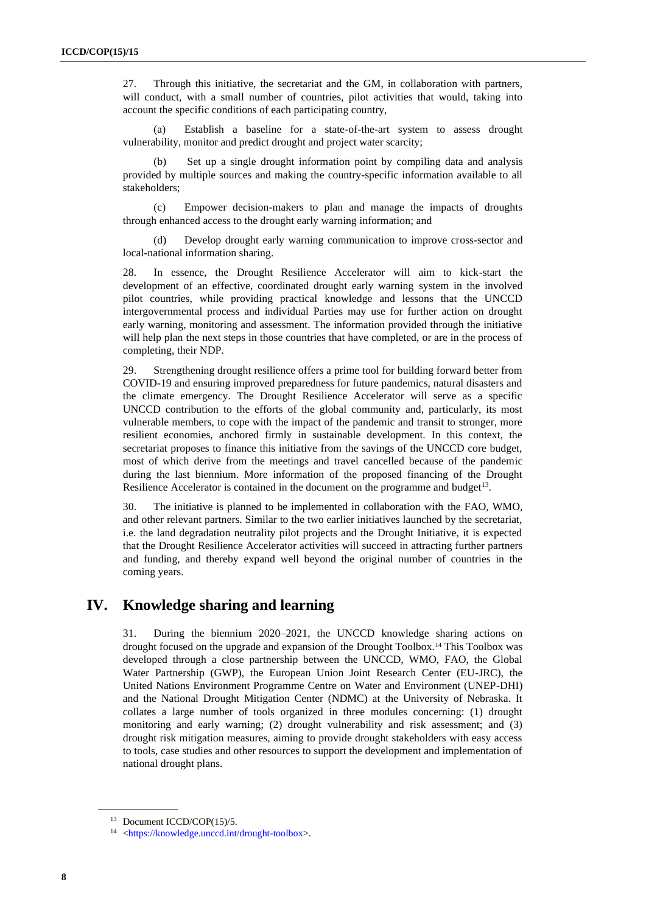27. Through this initiative, the secretariat and the GM, in collaboration with partners, will conduct, with a small number of countries, pilot activities that would, taking into account the specific conditions of each participating country,

(a) Establish a baseline for a state-of-the-art system to assess drought vulnerability, monitor and predict drought and project water scarcity;

(b) Set up a single drought information point by compiling data and analysis provided by multiple sources and making the country-specific information available to all stakeholders;

(c) Empower decision-makers to plan and manage the impacts of droughts through enhanced access to the drought early warning information; and

Develop drought early warning communication to improve cross-sector and local-national information sharing.

28. In essence, the Drought Resilience Accelerator will aim to kick-start the development of an effective, coordinated drought early warning system in the involved pilot countries, while providing practical knowledge and lessons that the UNCCD intergovernmental process and individual Parties may use for further action on drought early warning, monitoring and assessment. The information provided through the initiative will help plan the next steps in those countries that have completed, or are in the process of completing, their NDP.

29. Strengthening drought resilience offers a prime tool for building forward better from COVID-19 and ensuring improved preparedness for future pandemics, natural disasters and the climate emergency. The Drought Resilience Accelerator will serve as a specific UNCCD contribution to the efforts of the global community and, particularly, its most vulnerable members, to cope with the impact of the pandemic and transit to stronger, more resilient economies, anchored firmly in sustainable development. In this context, the secretariat proposes to finance this initiative from the savings of the UNCCD core budget, most of which derive from the meetings and travel cancelled because of the pandemic during the last biennium. More information of the proposed financing of the Drought Resilience Accelerator is contained in the document on the programme and budget<sup>13</sup>.

30. The initiative is planned to be implemented in collaboration with the FAO, WMO, and other relevant partners. Similar to the two earlier initiatives launched by the secretariat, i.e. the land degradation neutrality pilot projects and the Drought Initiative, it is expected that the Drought Resilience Accelerator activities will succeed in attracting further partners and funding, and thereby expand well beyond the original number of countries in the coming years.

#### **IV. Knowledge sharing and learning**

31. During the biennium 2020–2021, the UNCCD knowledge sharing actions on drought focused on the upgrade and expansion of the Drought Toolbox.<sup>14</sup> This Toolbox was developed through a close partnership between the UNCCD, WMO, FAO, the Global Water Partnership (GWP), the European Union Joint Research Center (EU-JRC), the United Nations Environment Programme Centre on Water and Environment (UNEP-DHI) and the National Drought Mitigation Center (NDMC) at the University of Nebraska. It collates a large number of tools organized in three modules concerning: (1) drought monitoring and early warning; (2) drought vulnerability and risk assessment; and (3) drought risk mitigation measures, aiming to provide drought stakeholders with easy access to tools, case studies and other resources to support the development and implementation of national drought plans.

<sup>13</sup> Document ICCD/COP(15)/5.

<sup>14</sup> [<https://knowledge.unccd.int/drought-toolbox>](https://knowledge.unccd.int/drought-toolbox).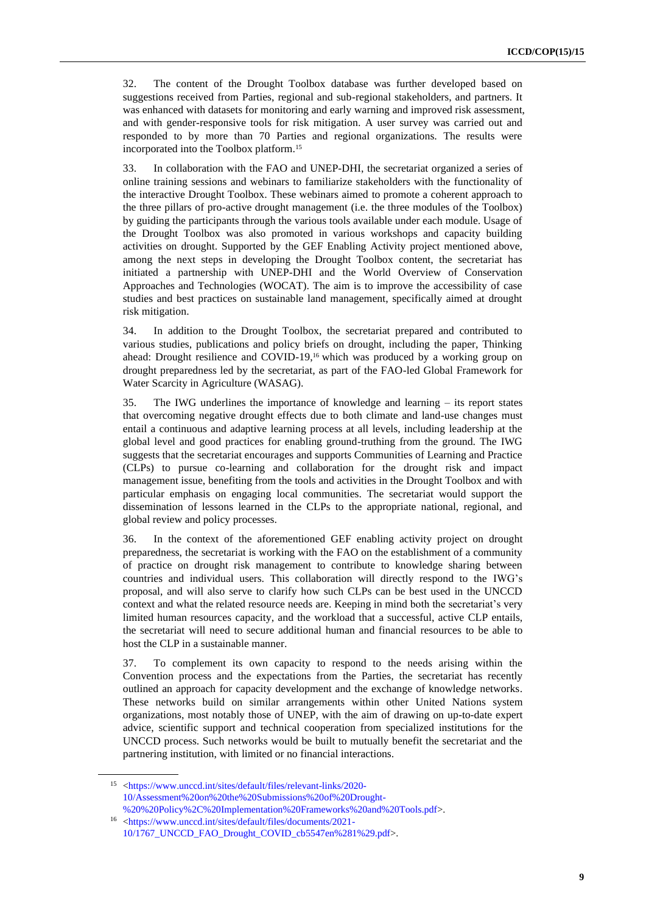32. The content of the Drought Toolbox database was further developed based on suggestions received from Parties, regional and sub-regional stakeholders, and partners. It was enhanced with datasets for monitoring and early warning and improved risk assessment, and with gender-responsive tools for risk mitigation. A user survey was carried out and responded to by more than 70 Parties and regional organizations. The results were incorporated into the Toolbox platform.<sup>15</sup>

33. In collaboration with the FAO and UNEP-DHI, the secretariat organized a series of online training sessions and webinars to familiarize stakeholders with the functionality of the interactive Drought Toolbox. These webinars aimed to promote a coherent approach to the three pillars of pro-active drought management (i.e. the three modules of the Toolbox) by guiding the participants through the various tools available under each module. Usage of the Drought Toolbox was also promoted in various workshops and capacity building activities on drought. Supported by the GEF Enabling Activity project mentioned above, among the next steps in developing the Drought Toolbox content, the secretariat has initiated a partnership with UNEP-DHI and the World Overview of Conservation Approaches and Technologies (WOCAT). The aim is to improve the accessibility of case studies and best practices on sustainable land management, specifically aimed at drought risk mitigation.

34. In addition to the Drought Toolbox, the secretariat prepared and contributed to various studies, publications and policy briefs on drought, including the paper, Thinking ahead: Drought resilience and COVID-19,<sup>16</sup> which was produced by a working group on drought preparedness led by the secretariat, as part of the FAO-led Global Framework for Water Scarcity in Agriculture (WASAG).

35. The IWG underlines the importance of knowledge and learning – its report states that overcoming negative drought effects due to both climate and land-use changes must entail a continuous and adaptive learning process at all levels, including leadership at the global level and good practices for enabling ground-truthing from the ground. The IWG suggests that the secretariat encourages and supports Communities of Learning and Practice (CLPs) to pursue co-learning and collaboration for the drought risk and impact management issue, benefiting from the tools and activities in the Drought Toolbox and with particular emphasis on engaging local communities. The secretariat would support the dissemination of lessons learned in the CLPs to the appropriate national, regional, and global review and policy processes.

36. In the context of the aforementioned GEF enabling activity project on drought preparedness, the secretariat is working with the FAO on the establishment of a community of practice on drought risk management to contribute to knowledge sharing between countries and individual users. This collaboration will directly respond to the IWG's proposal, and will also serve to clarify how such CLPs can be best used in the UNCCD context and what the related resource needs are. Keeping in mind both the secretariat's very limited human resources capacity, and the workload that a successful, active CLP entails, the secretariat will need to secure additional human and financial resources to be able to host the CLP in a sustainable manner.

37. To complement its own capacity to respond to the needs arising within the Convention process and the expectations from the Parties, the secretariat has recently outlined an approach for capacity development and the exchange of knowledge networks. These networks build on similar arrangements within other United Nations system organizations, most notably those of UNEP, with the aim of drawing on up-to-date expert advice, scientific support and technical cooperation from specialized institutions for the UNCCD process. Such networks would be built to mutually benefit the secretariat and the partnering institution, with limited or no financial interactions.

<sup>15</sup> [<https://www.unccd.int/sites/default/files/relevant-links/2020-](https://www.unccd.int/sites/default/files/relevant-links/2020-10/Assessment%20on%20the%20Submissions%20of%20Drought-%20%20Policy%2C%20Implementation%20Frameworks%20and%20Tools.pdf) [10/Assessment%20on%20the%20Submissions%20of%20Drought-](https://www.unccd.int/sites/default/files/relevant-links/2020-10/Assessment%20on%20the%20Submissions%20of%20Drought-%20%20Policy%2C%20Implementation%20Frameworks%20and%20Tools.pdf) [%20%20Policy%2C%20Implementation%20Frameworks%20and%20Tools.pdf>](https://www.unccd.int/sites/default/files/relevant-links/2020-10/Assessment%20on%20the%20Submissions%20of%20Drought-%20%20Policy%2C%20Implementation%20Frameworks%20and%20Tools.pdf).

<sup>16</sup> [<https://www.unccd.int/sites/default/files/documents/2021-](https://www.unccd.int/sites/default/files/documents/2021-10/1767_UNCCD_FAO_Drought_COVID_cb5547en%281%29.pdf) [10/1767\\_UNCCD\\_FAO\\_Drought\\_COVID\\_cb5547en%281%29.pdf>](https://www.unccd.int/sites/default/files/documents/2021-10/1767_UNCCD_FAO_Drought_COVID_cb5547en%281%29.pdf).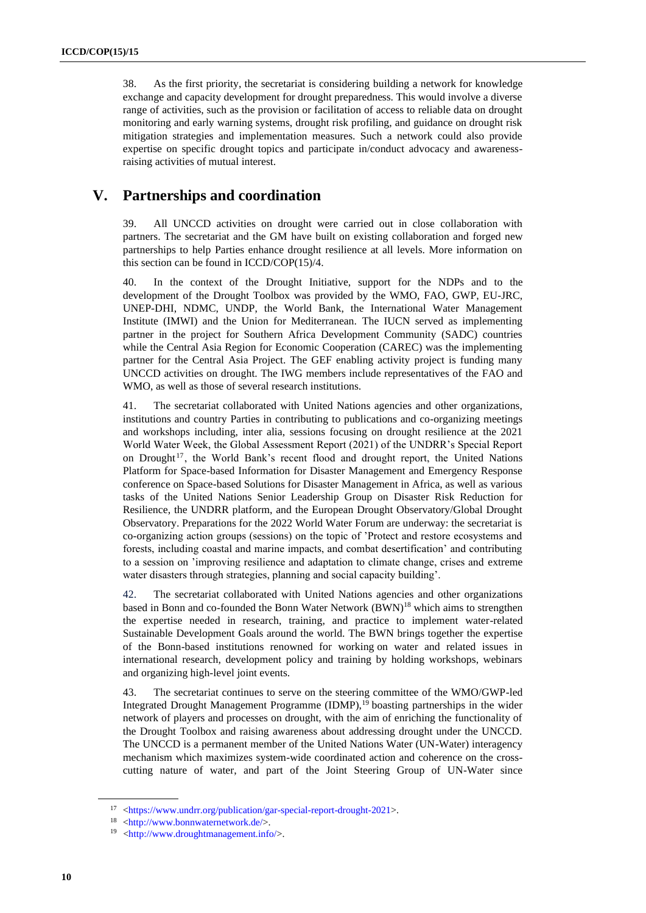38. As the first priority, the secretariat is considering building a network for knowledge exchange and capacity development for drought preparedness. This would involve a diverse range of activities, such as the provision or facilitation of access to reliable data on drought monitoring and early warning systems, drought risk profiling, and guidance on drought risk mitigation strategies and implementation measures. Such a network could also provide expertise on specific drought topics and participate in/conduct advocacy and awarenessraising activities of mutual interest.

#### **V. Partnerships and coordination**

39. All UNCCD activities on drought were carried out in close collaboration with partners. The secretariat and the GM have built on existing collaboration and forged new partnerships to help Parties enhance drought resilience at all levels. More information on this section can be found in ICCD/COP(15)/4.

40. In the context of the Drought Initiative, support for the NDPs and to the development of the Drought Toolbox was provided by the WMO, FAO, GWP, EU-JRC, UNEP-DHI, NDMC, UNDP, the World Bank, the International Water Management Institute (IMWI) and the Union for Mediterranean. The IUCN served as implementing partner in the project for Southern Africa Development Community (SADC) countries while the Central Asia Region for Economic Cooperation (CAREC) was the implementing partner for the Central Asia Project. The GEF enabling activity project is funding many UNCCD activities on drought. The IWG members include representatives of the FAO and WMO, as well as those of several research institutions.

41. The secretariat collaborated with United Nations agencies and other organizations, institutions and country Parties in contributing to publications and co-organizing meetings and workshops including, inter alia, sessions focusing on drought resilience at the 2021 World Water Week, the Global Assessment Report (2021) of the UNDRR's Special Report on Drought<sup>17</sup>, the World Bank's recent flood and drought report, the United Nations Platform for Space-based Information for Disaster Management and Emergency Response conference on Space-based Solutions for Disaster Management in Africa, as well as various tasks of the United Nations Senior Leadership Group on Disaster Risk Reduction for Resilience, the UNDRR platform, and the European Drought Observatory/Global Drought Observatory. Preparations for the 2022 World Water Forum are underway: the secretariat is co-organizing action groups (sessions) on the topic of 'Protect and restore ecosystems and forests, including coastal and marine impacts, and combat desertification' and contributing to a session on 'improving resilience and adaptation to climate change, crises and extreme water disasters through strategies, planning and social capacity building'.

42. The secretariat collaborated with United Nations agencies and other organizations based in Bonn and co-founded the Bonn Water Network (BWN)<sup>18</sup> which aims to strengthen the expertise needed in research, training, and practice to implement water-related Sustainable Development Goals around the world. The BWN brings together the expertise of the Bonn-based institutions renowned for working on water and related issues in international research, development policy and training by holding workshops, webinars and organizing high-level joint events.

43. The secretariat continues to serve on the steering committee of the WMO/GWP-led Integrated Drought Management Programme (IDMP),<sup>19</sup> boasting partnerships in the wider network of players and processes on drought, with the aim of enriching the functionality of the Drought Toolbox and raising awareness about addressing drought under the UNCCD. The UNCCD is a permanent member of the United Nations Water (UN-Water) interagency mechanism which maximizes system-wide coordinated action and coherence on the crosscutting nature of water, and part of the Joint Steering Group of UN-Water since

<sup>17</sup> [<https://www.undrr.org/publication/gar-special-report-drought-2021>](https://www.undrr.org/publication/gar-special-report-drought-2021).

<sup>18</sup> [<http://www.bonnwaternetwork.de/>](http://www.bonnwaternetwork.de/).

<sup>19</sup> [<http://www.droughtmanagement.info/>](http://www.droughtmanagement.info/).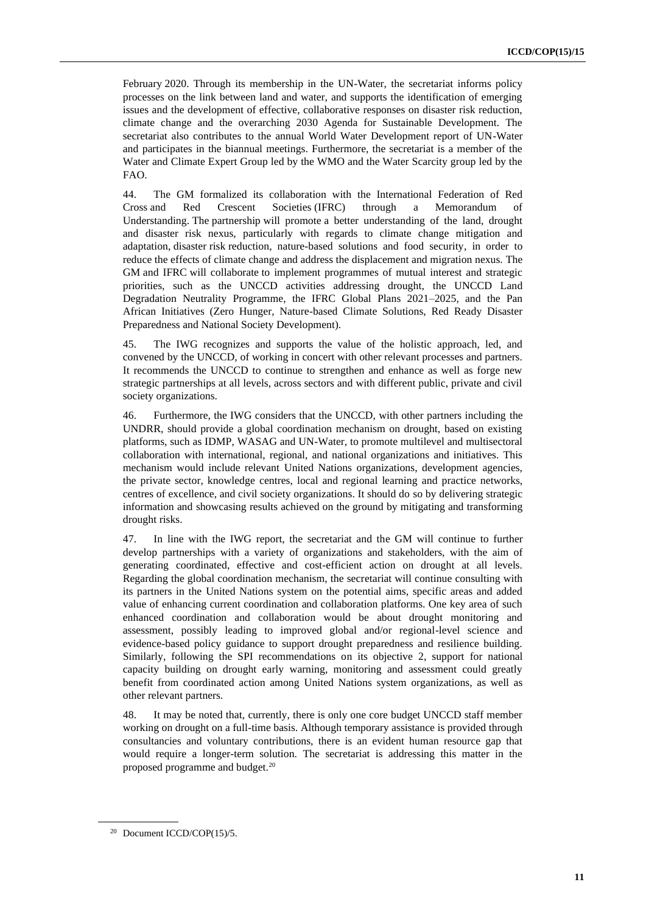February 2020. Through its membership in the UN-Water, the secretariat informs policy processes on the link between land and water, and supports the identification of emerging issues and the development of effective, collaborative responses on disaster risk reduction, climate change and the overarching 2030 Agenda for Sustainable Development. The secretariat also contributes to the annual World Water Development report of UN-Water and participates in the biannual meetings. Furthermore, the secretariat is a member of the Water and Climate Expert Group led by the WMO and the Water Scarcity group led by the FAO.

44. The GM formalized its collaboration with the International Federation of Red Cross and Red Crescent Societies (IFRC) through a Memorandum of Understanding. The partnership will promote a better understanding of the land, drought and disaster risk nexus, particularly with regards to climate change mitigation and adaptation, disaster risk reduction, nature-based solutions and food security, in order to reduce the effects of climate change and address the displacement and migration nexus. The GM and IFRC will collaborate to implement programmes of mutual interest and strategic priorities, such as the UNCCD activities addressing drought, the UNCCD Land Degradation Neutrality Programme, the IFRC Global Plans 2021–2025, and the Pan African Initiatives (Zero Hunger, Nature-based Climate Solutions, Red Ready Disaster Preparedness and National Society Development).

45. The IWG recognizes and supports the value of the holistic approach, led, and convened by the UNCCD, of working in concert with other relevant processes and partners. It recommends the UNCCD to continue to strengthen and enhance as well as forge new strategic partnerships at all levels, across sectors and with different public, private and civil society organizations.

46. Furthermore, the IWG considers that the UNCCD, with other partners including the UNDRR, should provide a global coordination mechanism on drought, based on existing platforms, such as IDMP, WASAG and UN-Water, to promote multilevel and multisectoral collaboration with international, regional, and national organizations and initiatives. This mechanism would include relevant United Nations organizations, development agencies, the private sector, knowledge centres, local and regional learning and practice networks, centres of excellence, and civil society organizations. It should do so by delivering strategic information and showcasing results achieved on the ground by mitigating and transforming drought risks.

47. In line with the IWG report, the secretariat and the GM will continue to further develop partnerships with a variety of organizations and stakeholders, with the aim of generating coordinated, effective and cost-efficient action on drought at all levels. Regarding the global coordination mechanism, the secretariat will continue consulting with its partners in the United Nations system on the potential aims, specific areas and added value of enhancing current coordination and collaboration platforms. One key area of such enhanced coordination and collaboration would be about drought monitoring and assessment, possibly leading to improved global and/or regional-level science and evidence-based policy guidance to support drought preparedness and resilience building. Similarly, following the SPI recommendations on its objective 2, support for national capacity building on drought early warning, monitoring and assessment could greatly benefit from coordinated action among United Nations system organizations, as well as other relevant partners.

48. It may be noted that, currently, there is only one core budget UNCCD staff member working on drought on a full-time basis. Although temporary assistance is provided through consultancies and voluntary contributions, there is an evident human resource gap that would require a longer-term solution. The secretariat is addressing this matter in the proposed programme and budget.<sup>20</sup>

<sup>20</sup> Document ICCD/COP(15)/5.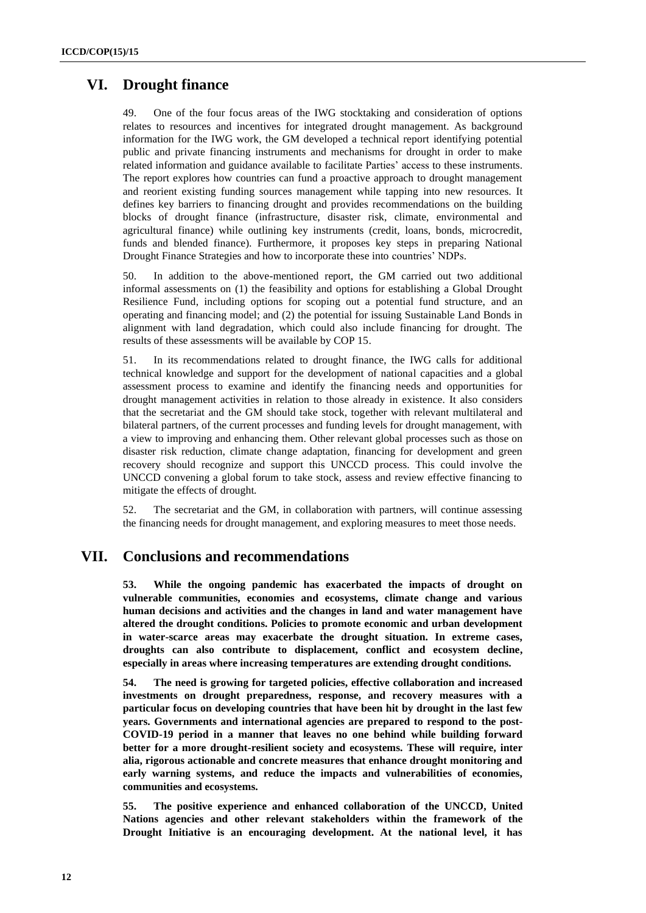#### **VI. Drought finance**

49. One of the four focus areas of the IWG stocktaking and consideration of options relates to resources and incentives for integrated drought management. As background information for the IWG work, the GM developed a technical report identifying potential public and private financing instruments and mechanisms for drought in order to make related information and guidance available to facilitate Parties' access to these instruments. The report explores how countries can fund a proactive approach to drought management and reorient existing funding sources management while tapping into new resources. It defines key barriers to financing drought and provides recommendations on the building blocks of drought finance (infrastructure, disaster risk, climate, environmental and agricultural finance) while outlining key instruments (credit, loans, bonds, microcredit, funds and blended finance). Furthermore, it proposes key steps in preparing National Drought Finance Strategies and how to incorporate these into countries' NDPs.

50. In addition to the above-mentioned report, the GM carried out two additional informal assessments on (1) the feasibility and options for establishing a Global Drought Resilience Fund, including options for scoping out a potential fund structure, and an operating and financing model; and (2) the potential for issuing Sustainable Land Bonds in alignment with land degradation, which could also include financing for drought. The results of these assessments will be available by COP 15.

51. In its recommendations related to drought finance, the IWG calls for additional technical knowledge and support for the development of national capacities and a global assessment process to examine and identify the financing needs and opportunities for drought management activities in relation to those already in existence. It also considers that the secretariat and the GM should take stock, together with relevant multilateral and bilateral partners, of the current processes and funding levels for drought management, with a view to improving and enhancing them. Other relevant global processes such as those on disaster risk reduction, climate change adaptation, financing for development and green recovery should recognize and support this UNCCD process. This could involve the UNCCD convening a global forum to take stock, assess and review effective financing to mitigate the effects of drought.

52. The secretariat and the GM, in collaboration with partners, will continue assessing the financing needs for drought management, and exploring measures to meet those needs.

#### **VII. Conclusions and recommendations**

**53. While the ongoing pandemic has exacerbated the impacts of drought on vulnerable communities, economies and ecosystems, climate change and various human decisions and activities and the changes in land and water management have altered the drought conditions. Policies to promote economic and urban development in water-scarce areas may exacerbate the drought situation. In extreme cases, droughts can also contribute to displacement, conflict and ecosystem decline, especially in areas where increasing temperatures are extending drought conditions.**

**54. The need is growing for targeted policies, effective collaboration and increased investments on drought preparedness, response, and recovery measures with a particular focus on developing countries that have been hit by drought in the last few years. Governments and international agencies are prepared to respond to the post-COVID-19 period in a manner that leaves no one behind while building forward better for a more drought-resilient society and ecosystems. These will require, inter alia, rigorous actionable and concrete measures that enhance drought monitoring and early warning systems, and reduce the impacts and vulnerabilities of economies, communities and ecosystems.** 

**55. The positive experience and enhanced collaboration of the UNCCD, United Nations agencies and other relevant stakeholders within the framework of the Drought Initiative is an encouraging development. At the national level, it has**